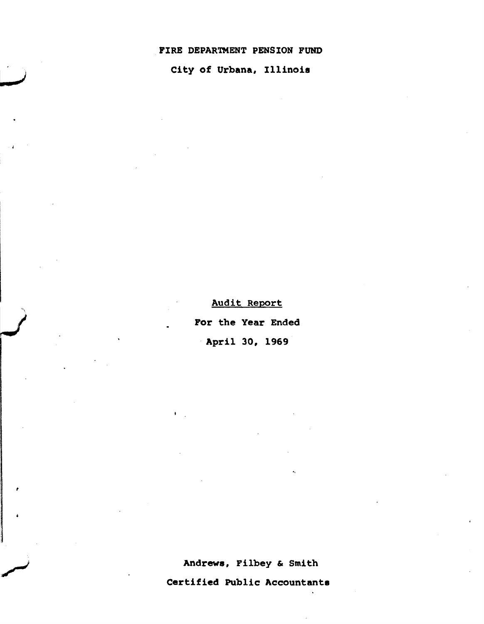## FIRE DEPARTMENT PENSION FUND

City of Urbana, Illinois

Audit Report

For the Year Ended

. April 30, 1969

Andrews, Filbey & Smith

Certified Public Accountants

 $\ddot{\phantom{a}}$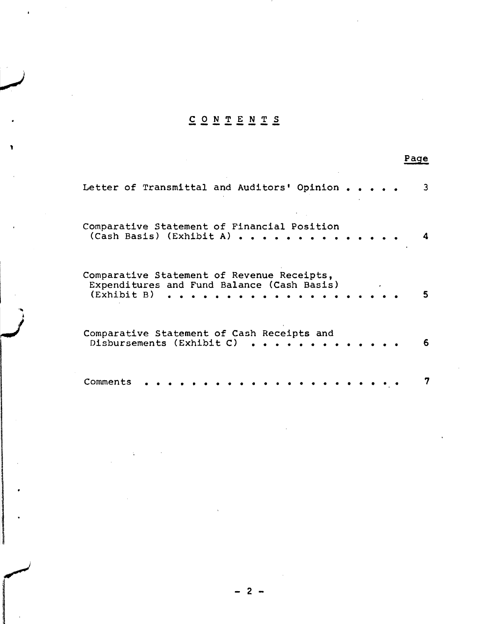# CON TEN T S **---------**

,

| Letter of Transmittal and Auditors' Opinion                                                             | 3.           |
|---------------------------------------------------------------------------------------------------------|--------------|
| Comparative Statement of Financial Position<br>(Cash Basis) (Exhibit A)                                 | $\mathbf{A}$ |
| Comparative Statement of Revenue Receipts,<br>Expenditures and Fund Balance (Cash Basis)<br>(Exhibit B) |              |
| Comparative Statement of Cash Receipts and<br>Disbursements (Exhibit C)                                 | 6.           |
| Comments                                                                                                |              |

## Page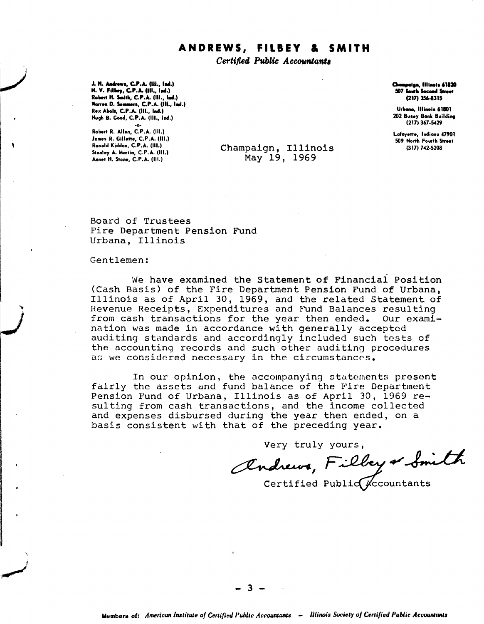## **ANDREWS, FILlEY & SMITH**

Certified Public Accountants

J. H. Andrews, C.P.A. (III., Ind.)<br>N. Y. Filbey, C.P.A. (III., Ind.) Robert H. Smith, C.P.A. (Ill., Ind.) Warren D. Summers, C.P.A. (III.. Ind.)  $Rex$  Abolt, C.P.A.  $(III., Ind.)$ Hugh B. Good, C.P.A. (III., Ind.)

·0· Robert R. Allen, C.P.A. (III.) James R. Gillette, C.P.A. (III.) Ronold Kiddoo, C.P.A. (III.) Stonley A. Mortin, C.P.A. (III.) Annet H. Stone, C.P.A. (III.)

,

 $\ddot{\phantom{1}}$ ! ,~

Champaign, Illinois May 19, 1969

Champeign, Illinois 61820<br>507 South Socond Street (217) 356-1315

Urbono, Illinois 61801 202 Busey Bonk Building (217) 367.5429

Lofoyette, Indiono 47901 509 North Fourth Street (317) 742·5208

Board of Trustees Fire Department Pension Fund Urbana, Illinois

#### Gentlemen:

We have examined the Statement of Financial Position (Cash Basis) of the Fire Department Pension Fund of Urbana, Illinois as of April 30, 1969, and the related Statement. of Revenue Receipts, Expenditures and Fund Balances resulting from cash transactions for the year then ended. Our examination was made in accordance with generally accepted auditing standards and accordingly included such tests of the accounting records and such other auditing procedures as we considered necessary in the circumstances.

In our opinion, the accompanying statements present fairly the assets and fund balance of the Pire Department Pension F'und of Urbana, Illinois as of April 30, 1969 resulting from cash transactions, and the income collected and expenses disbursed during the year then ended, on a basis consistent with that of the preceding year.

Very truly yours,

andrews, Filbey or Smith

Certified Public  $\mathcal{K}$ ccountants

- 3 -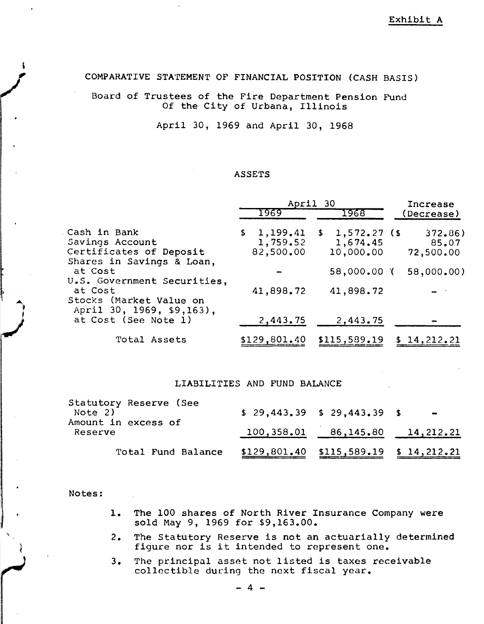COMPARATIVE STA'rEMENT OF FINANCIAL POSITION (CASH BASIS)

Board of Trustees of the Fire Department Pension Fund Of the City of Urbana, Illinois

April 30, 1969 and April 30, 1968

## ASSETS

|                                                                                         | April 30 |                                   |  | Increase                                              |  |                              |
|-----------------------------------------------------------------------------------------|----------|-----------------------------------|--|-------------------------------------------------------|--|------------------------------|
|                                                                                         |          | 1969                              |  | 1968                                                  |  | Decrease)                    |
| Cash in Bank<br>Savings Account<br>Certificates of Deposit<br>Shares in Savings & Loan, |          | 1,199.41<br>1,759.52<br>82,500.00 |  | $\frac{1}{5}$ , 1,572.27 (\$<br>1,674.45<br>10,000.00 |  | 372,86<br>85.07<br>72,500.00 |
| at Cost<br>U.S. Government Securities,                                                  |          |                                   |  | 58,000.00 (                                           |  | 58,000.00)                   |
| at Cost<br>Stocks (Market Value on<br>April 30, 1969, \$9,163),                         |          | 41,898.72                         |  | 41,898.72                                             |  |                              |
| at Cost (See Note 1)                                                                    |          | 2,443.75                          |  | 2,443.75                                              |  |                              |
| Total Assets                                                                            |          | \$129,801.40                      |  | \$115,589.19                                          |  | \$14,212.21                  |

#### LIABILITIES AND FUND BALANCE

| Note 2) | Statutory Reserve (See<br>Amount in excess of | $$29,443,39$$ $$29,443,39$$ \$           | $\blacksquare$ |  |
|---------|-----------------------------------------------|------------------------------------------|----------------|--|
| Reserve | $100, 358.01$ $86, 145.80$ $14, 212.21$       |                                          |                |  |
|         | Total Fund Balance                            | $$129,801.40$ $$115,589.19$ $$14,212.21$ |                |  |

Notes:

 $\ddot{\phantom{1}}$ .<br>م

- 1. The 100 shares of North River Insurance Company were sold May 9, 1969 for \$9,163.00.
- 2. The Statutory Reserve is not an actuarially determined figure nor is it intended to represent one.
- 3. The principal asset not listed is taxes receivable collectible during the next fiscal year.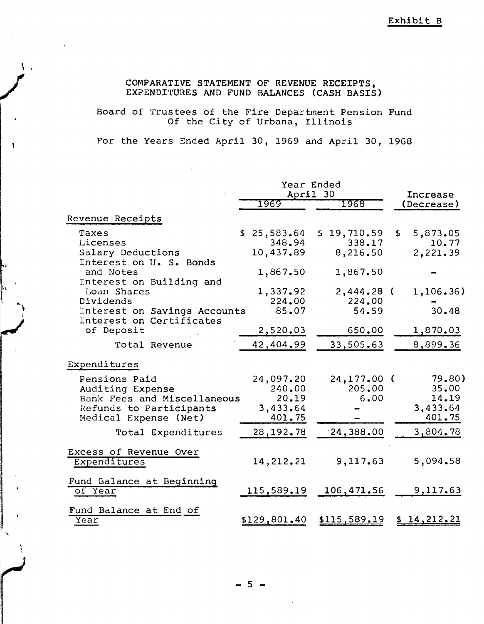# COMPARATIVE STATEMENT OF REVENUE RECEIPTS,<br>EXPENDITURES AND FUND BALANCES (CASH BASIS EXPENDITURES AND FUND BALANCES (CASH BASIS)

1 1 <sup>I</sup>

a personal de la partie<br>Altres internationales

Board of 'rrustees of the Fire Department Pension Fund Secos of the Time Separtment .e

For the Years Ended April 30, 1969 and April 30, 1968

|                                                                                                                      | Year Ended<br>April 30 |                                                    |  |                                   | Increase |                                                |
|----------------------------------------------------------------------------------------------------------------------|------------------------|----------------------------------------------------|--|-----------------------------------|----------|------------------------------------------------|
|                                                                                                                      |                        | 1969                                               |  | 1968                              |          | (Decrease)                                     |
| Revenue Receipts                                                                                                     |                        |                                                    |  |                                   |          |                                                |
| Taxes<br>Licenses<br>Salary Deductions                                                                               |                        | \$25,583.64<br>348.94<br>10,437.89                 |  | \$19,710.59<br>338.17<br>8,216.50 | \$       | 5,873.05<br>10.77<br>2,221.39                  |
| Interest on U. S. Bonds<br>and Notes<br>Interest on Building and                                                     |                        | 1,867.50                                           |  | 1,867.50                          |          |                                                |
| Loan Shares<br>Dividends<br>Interest on Savings Accounts<br>Interest on Certificates                                 |                        | 1,337.92<br>224.00<br>85.07                        |  | $2,444.28$ (<br>224.00<br>54.59   |          | 1,106.36)<br>30.48                             |
| of Deposit                                                                                                           |                        | 2,520.03                                           |  | 650.00                            |          | 1,870.03                                       |
| Total Revenue                                                                                                        |                        | 42,404.99                                          |  | 33,505.63                         |          | 8,899.36                                       |
| Expenditures                                                                                                         |                        |                                                    |  |                                   |          |                                                |
| Pensions Paid<br>Auditing Expense<br>Bank Fees and Miscellaneous<br>Refunds to Participants<br>Medical Expense (Net) |                        | 24,097.20<br>240.00<br>20.19<br>3,433.64<br>401.75 |  | 24,177.00<br>205.00<br>6.00       | $\zeta$  | 79.80)<br>35.00<br>14.19<br>3,433.64<br>401.75 |
| Total Expenditures                                                                                                   |                        | 28,192.78                                          |  | 24,388.00                         |          | 3,804.78                                       |
| Excess of Revenue Over<br>Expenditures                                                                               |                        | 14, 212. 21                                        |  | 9,117.63                          |          | 5,094.58                                       |
| Fund Balance at Beginning<br>of Year                                                                                 |                        | 115,589.19                                         |  | 106,471.56                        |          | 9,117.63                                       |
| Fund Balance at End of<br>Year                                                                                       |                        | <u>\$129,801.40</u>                                |  | \$115,589.19                      |          | \$14,212.21                                    |

- 5 -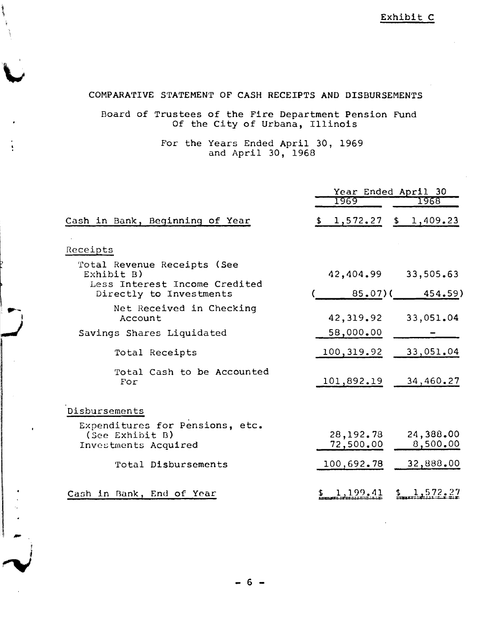Exhibit C

## COMPARA/rIVE STATEMENT OF CASH RECEIPTS AND DISBURSEMENTS

## Board of Trustees of the Fire Department Pension Fund Of the City of Urbana, Illinois

For the Years Ended April 30, 1969 and April 30, 1968

|                                                                            | Year Ended April 30    |                       |  |  |
|----------------------------------------------------------------------------|------------------------|-----------------------|--|--|
|                                                                            | 1969                   | 1968                  |  |  |
| Cash in Bank, Beginning of Year                                            | 1,572.27<br>\$         | \$1,409.23            |  |  |
| Receipts                                                                   |                        |                       |  |  |
| Total Revenue Receipts (See<br>Exhibit B)                                  | 42,404.99              | 33,505.63             |  |  |
| Less Interest Income Credited<br>Directly to Investments                   | $85.07$ (              | 454.59)               |  |  |
| Net Received in Checking<br>Account                                        | 42,319.92              | 33,051.04             |  |  |
| Savings Shares Liquidated                                                  | 58,000.00              |                       |  |  |
| Total Receipts                                                             | 100,319.92             | 33,051.04             |  |  |
| Total Cash to be Accounted<br>For                                          | 101,892.19             | 34,460.27             |  |  |
| Disbursements                                                              |                        |                       |  |  |
| Expenditures for Pensions, etc.<br>(See Exhibit B)<br>Investments Acquired | 28,192.78<br>72,500.00 | 24,388.00<br>8,500.00 |  |  |
| Total Disbursements                                                        | 100,692.78             | 32,888.00             |  |  |
| Cash in Bank, End of Year                                                  | 1,199,41               | 1,572.27              |  |  |

- 1